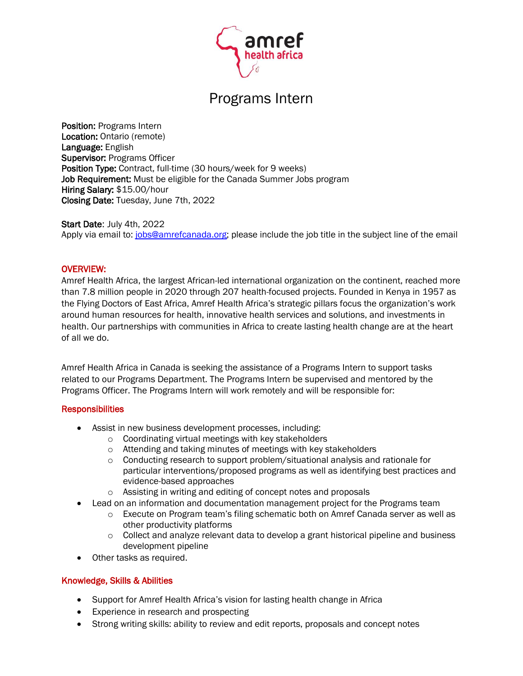

# Programs Intern

Position: Programs Intern Location: Ontario (remote) Language: English Supervisor: Programs Officer Position Type: Contract, full-time (30 hours/week for 9 weeks) Job Requirement: Must be eligible for the Canada Summer Jobs program Hiring Salary: \$15.00/hour Closing Date: Tuesday, June 7th, 2022

Start Date: July 4th, 2022 Apply via email to: [jobs@amrefcanada.org;](mailto:jobs@amrefcanada.org) please include the job title in the subject line of the email

## OVERVIEW:

Amref Health Africa, the largest African-led international organization on the continent, reached more than 7.8 million people in 2020 through 207 health-focused projects. Founded in Kenya in 1957 as the Flying Doctors of East Africa, Amref Health Africa's strategic pillars focus the organization's work around human resources for health, innovative health services and solutions, and investments in health. Our partnerships with communities in Africa to create lasting health change are at the heart of all we do.

Amref Health Africa in Canada is seeking the assistance of a Programs Intern to support tasks related to our Programs Department. The Programs Intern be supervised and mentored by the Programs Officer. The Programs Intern will work remotely and will be responsible for:

#### **Responsibilities**

- Assist in new business development processes, including:
	- o Coordinating virtual meetings with key stakeholders
	- o Attending and taking minutes of meetings with key stakeholders
	- $\circ$  Conducting research to support problem/situational analysis and rationale for particular interventions/proposed programs as well as identifying best practices and evidence-based approaches
	- o Assisting in writing and editing of concept notes and proposals
- Lead on an information and documentation management project for the Programs team
	- o Execute on Program team's filing schematic both on Amref Canada server as well as other productivity platforms
	- $\circ$  Collect and analyze relevant data to develop a grant historical pipeline and business development pipeline
- Other tasks as required.

# Knowledge, Skills & Abilities

- Support for Amref Health Africa's vision for lasting health change in Africa
- Experience in research and prospecting
- Strong writing skills: ability to review and edit reports, proposals and concept notes